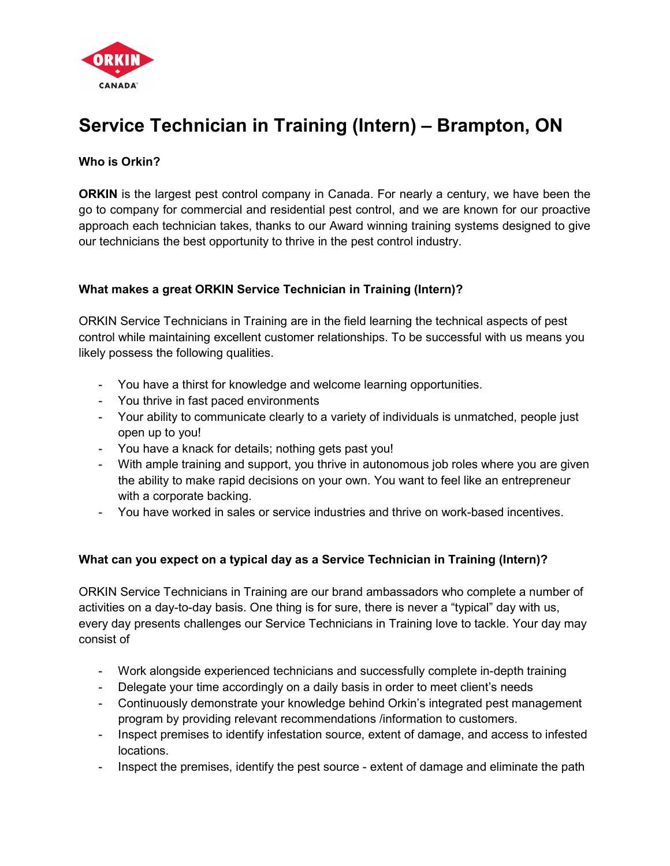

# Service Technician in Training (Intern) – Brampton, ON

## Who is Orkin?

**ORKIN** is the largest pest control company in Canada. For nearly a century, we have been the go to company for commercial and residential pest control, and we are known for our proactive approach each technician takes, thanks to our Award winning training systems designed to give our technicians the best opportunity to thrive in the pest control industry.

### What makes a great ORKIN Service Technician in Training (Intern)?

ORKIN Service Technicians in Training are in the field learning the technical aspects of pest control while maintaining excellent customer relationships. To be successful with us means you likely possess the following qualities.

- You have a thirst for knowledge and welcome learning opportunities.
- You thrive in fast paced environments
- Your ability to communicate clearly to a variety of individuals is unmatched, people just open up to you!
- You have a knack for details; nothing gets past you!
- With ample training and support, you thrive in autonomous job roles where you are given the ability to make rapid decisions on your own. You want to feel like an entrepreneur with a corporate backing.
- You have worked in sales or service industries and thrive on work-based incentives.

## What can you expect on a typical day as a Service Technician in Training (Intern)?

ORKIN Service Technicians in Training are our brand ambassadors who complete a number of activities on a day-to-day basis. One thing is for sure, there is never a "typical" day with us, every day presents challenges our Service Technicians in Training love to tackle. Your day may consist of

- Work alongside experienced technicians and successfully complete in-depth training
- Delegate your time accordingly on a daily basis in order to meet client's needs
- Continuously demonstrate your knowledge behind Orkin's integrated pest management program by providing relevant recommendations /information to customers.
- Inspect premises to identify infestation source, extent of damage, and access to infested locations.
- Inspect the premises, identify the pest source extent of damage and eliminate the path